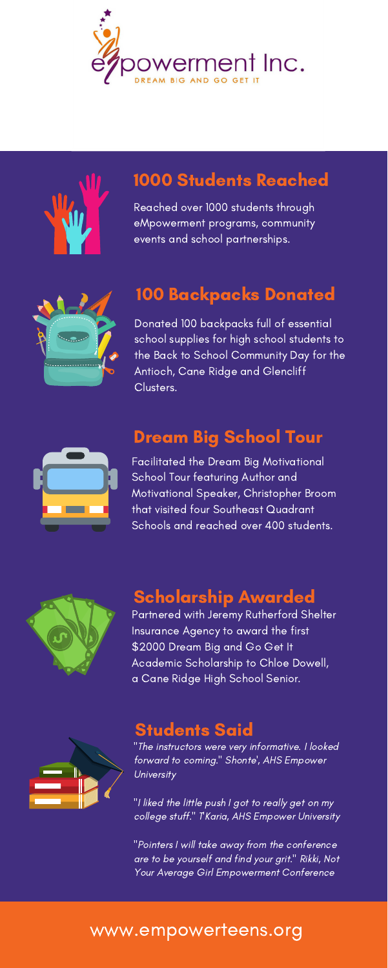Reached over 1000 students through eMpowerment programs, community events and school partnerships.







### 1000 Students Reached

Donated 100 backpacks full of essential school supplies for high school students to the Back to School Community Day for the Antioch, Cane Ridge and Glencliff Clusters.



# 100 Backpacks Donated

"The instructors were very informative. I looked forward to coming." Shonte', AHS Empower **University** 

Facilitated the Dream Big Motivational School Tour featuring Author and Motivational Speaker, Christopher Broom that visited four Southeast Quadrant Schools and reached over 400 students.



"I liked the little push I got to really get on my college stuff." TKaria, AHS Empower University

# Dream Big School Tour

Partnered with Jeremy Rutherford Shelter Insurance Agency to award the first \$2000 Dream Big and Go Get It Academic Scholarship to Chloe Dowell, a Cane Ridge High School Senior.



#### Scholarship Awarded

"Pointers I will take away from the conference are to be yourself and find your grit." Rikki, Not Your Average Girl Empowerment Conference

#### Students Said

# www.empowerteens.org